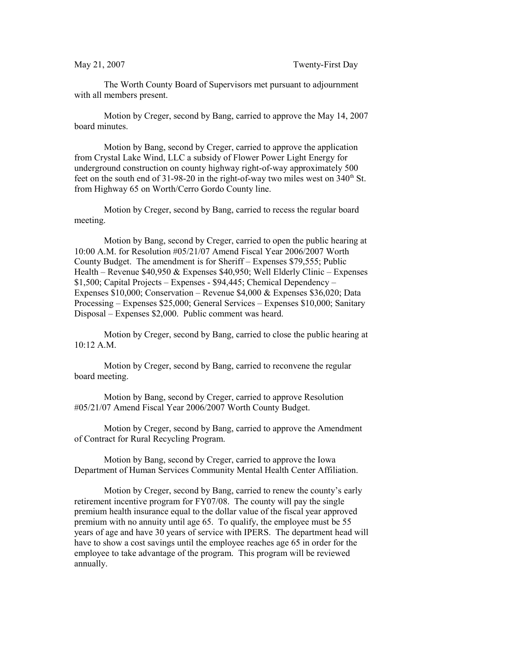The Worth County Board of Supervisors met pursuant to adjournment with all members present.

Motion by Creger, second by Bang, carried to approve the May 14, 2007 board minutes.

Motion by Bang, second by Creger, carried to approve the application from Crystal Lake Wind, LLC a subsidy of Flower Power Light Energy for underground construction on county highway right-of-way approximately 500 feet on the south end of  $31-98-20$  in the right-of-way two miles west on  $340<sup>th</sup>$  St. from Highway 65 on Worth/Cerro Gordo County line.

Motion by Creger, second by Bang, carried to recess the regular board meeting.

Motion by Bang, second by Creger, carried to open the public hearing at 10:00 A.M. for Resolution #05/21/07 Amend Fiscal Year 2006/2007 Worth County Budget. The amendment is for Sheriff – Expenses \$79,555; Public Health – Revenue \$40,950 & Expenses \$40,950; Well Elderly Clinic – Expenses \$1,500; Capital Projects – Expenses - \$94,445; Chemical Dependency – Expenses \$10,000; Conservation – Revenue \$4,000 & Expenses \$36,020; Data Processing – Expenses \$25,000; General Services – Expenses \$10,000; Sanitary Disposal – Expenses \$2,000. Public comment was heard.

Motion by Creger, second by Bang, carried to close the public hearing at 10:12 A.M.

Motion by Creger, second by Bang, carried to reconvene the regular board meeting.

Motion by Bang, second by Creger, carried to approve Resolution #05/21/07 Amend Fiscal Year 2006/2007 Worth County Budget.

Motion by Creger, second by Bang, carried to approve the Amendment of Contract for Rural Recycling Program.

Motion by Bang, second by Creger, carried to approve the Iowa Department of Human Services Community Mental Health Center Affiliation.

Motion by Creger, second by Bang, carried to renew the county's early retirement incentive program for FY07/08. The county will pay the single premium health insurance equal to the dollar value of the fiscal year approved premium with no annuity until age 65. To qualify, the employee must be 55 years of age and have 30 years of service with IPERS. The department head will have to show a cost savings until the employee reaches age 65 in order for the employee to take advantage of the program. This program will be reviewed annually.